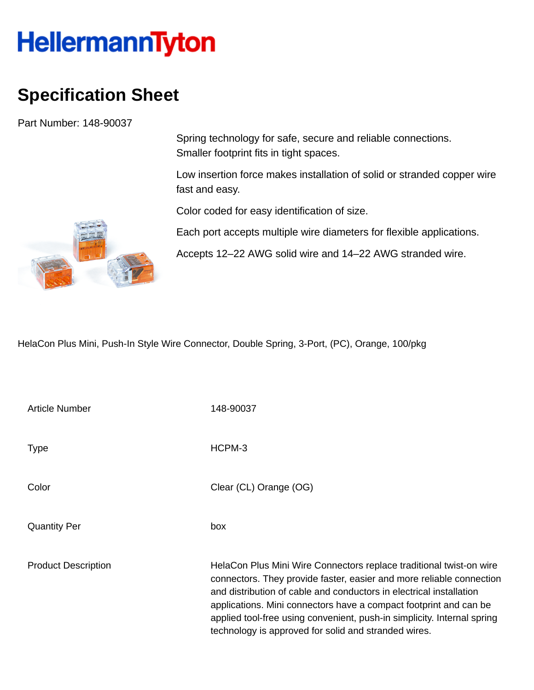## **HellermannTyton**

## **Specification Sheet**

Part Number: 148-90037

Smaller footprint fits in tight spaces.

Spring technology for safe, secure and reliable connections.

Low insertion force makes installation of solid or stranded copper wire fast and easy.

Color coded for easy identification of size.

Each port accepts multiple wire diameters for flexible applications.

Accepts 12–22 AWG solid wire and 14–22 AWG stranded wire.

HelaCon Plus Mini, Push-In Style Wire Connector, Double Spring, 3-Port, (PC), Orange, 100/pkg

| Article Number             | 148-90037                                                                                                                                                                                                                                                                                                                                                                                                                  |
|----------------------------|----------------------------------------------------------------------------------------------------------------------------------------------------------------------------------------------------------------------------------------------------------------------------------------------------------------------------------------------------------------------------------------------------------------------------|
| <b>Type</b>                | HCPM-3                                                                                                                                                                                                                                                                                                                                                                                                                     |
| Color                      | Clear (CL) Orange (OG)                                                                                                                                                                                                                                                                                                                                                                                                     |
| <b>Quantity Per</b>        | box                                                                                                                                                                                                                                                                                                                                                                                                                        |
| <b>Product Description</b> | HelaCon Plus Mini Wire Connectors replace traditional twist-on wire<br>connectors. They provide faster, easier and more reliable connection<br>and distribution of cable and conductors in electrical installation<br>applications. Mini connectors have a compact footprint and can be<br>applied tool-free using convenient, push-in simplicity. Internal spring<br>technology is approved for solid and stranded wires. |

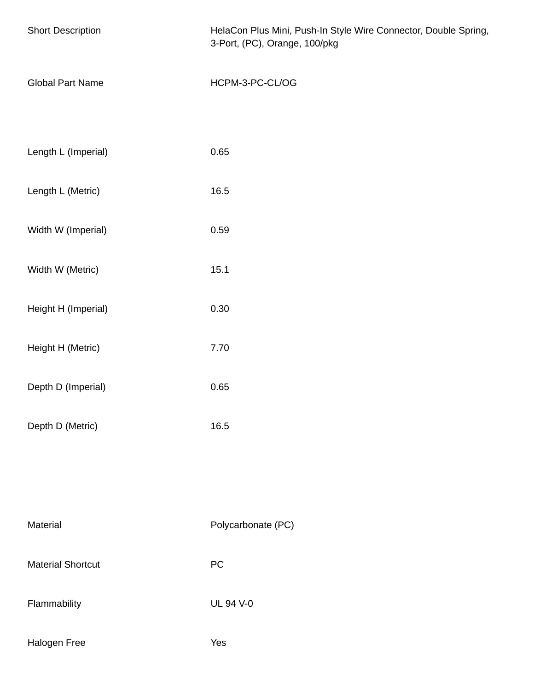| <b>Short Description</b> | HelaCon Plus Mini, Push-In Style Wire Connector, Double Spring,<br>3-Port, (PC), Orange, 100/pkg |
|--------------------------|--------------------------------------------------------------------------------------------------|
| <b>Global Part Name</b>  | HCPM-3-PC-CL/OG                                                                                  |
| Length L (Imperial)      | 0.65                                                                                             |
| Length L (Metric)        | 16.5                                                                                             |
| Width W (Imperial)       | 0.59                                                                                             |
| Width W (Metric)         | 15.1                                                                                             |
| Height H (Imperial)      | 0.30                                                                                             |
| Height H (Metric)        | 7.70                                                                                             |
| Depth D (Imperial)       | 0.65                                                                                             |
| Depth D (Metric)         | 16.5                                                                                             |
|                          |                                                                                                  |
| Material                 | Polycarbonate (PC)                                                                               |
| <b>Material Shortcut</b> | ${\sf PC}$                                                                                       |
| Flammability             | <b>UL 94 V-0</b>                                                                                 |
| Halogen Free             | Yes                                                                                              |